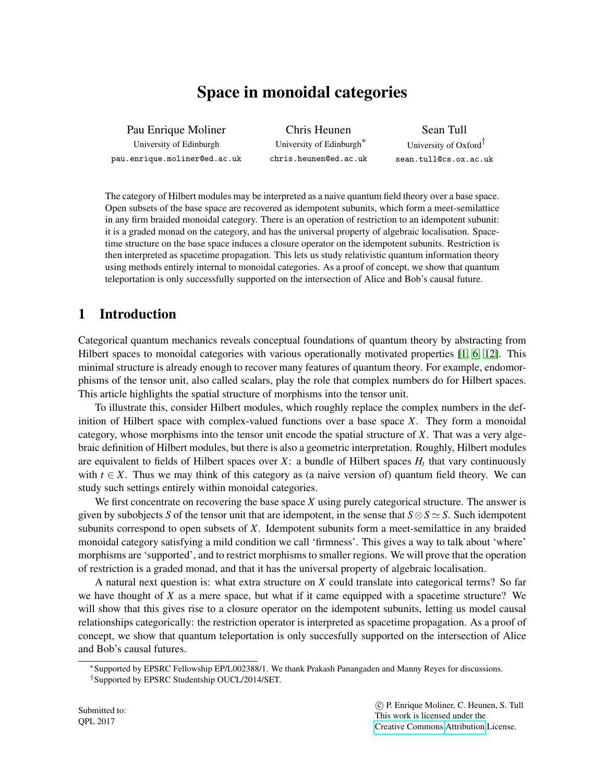# Space in monoidal categories

Pau Enrique Moliner

University of Edinburgh pau.enrique.moliner@ed.ac.uk

Chris Heunen University of Edinburgh<sup>∗</sup> chris.heunen@ed.ac.uk

Sean Tull University of Oxford† sean.tull@cs.ox.ac.uk

The category of Hilbert modules may be interpreted as a naive quantum field theory over a base space. Open subsets of the base space are recovered as idempotent subunits, which form a meet-semilattice in any firm braided monoidal category. There is an operation of restriction to an idempotent subunit: it is a graded monad on the category, and has the universal property of algebraic localisation. Spacetime structure on the base space induces a closure operator on the idempotent subunits. Restriction is then interpreted as spacetime propagation. This lets us study relativistic quantum information theory using methods entirely internal to monoidal categories. As a proof of concept, we show that quantum teleportation is only successfully supported on the intersection of Alice and Bob's causal future.

## 1 Introduction

Categorical quantum mechanics reveals conceptual foundations of quantum theory by abstracting from Hilbert spaces to monoidal categories with various operationally motivated properties [\[1,](#page-9-0) [6,](#page-9-1) [12\]](#page-9-2). This minimal structure is already enough to recover many features of quantum theory. For example, endomorphisms of the tensor unit, also called scalars, play the role that complex numbers do for Hilbert spaces. This article highlights the spatial structure of morphisms into the tensor unit.

To illustrate this, consider Hilbert modules, which roughly replace the complex numbers in the definition of Hilbert space with complex-valued functions over a base space *X*. They form a monoidal category, whose morphisms into the tensor unit encode the spatial structure of *X*. That was a very algebraic definition of Hilbert modules, but there is also a geometric interpretation. Roughly, Hilbert modules are equivalent to fields of Hilbert spaces over *X*: a bundle of Hilbert spaces *H<sup>t</sup>* that vary continuously with  $t \in X$ . Thus we may think of this category as (a naive version of) quantum field theory. We can study such settings entirely within monoidal categories.

We first concentrate on recovering the base space *X* using purely categorical structure. The answer is given by subobjects *S* of the tensor unit that are idempotent, in the sense that  $S \otimes S \simeq S$ . Such idempotent subunits correspond to open subsets of *X*. Idempotent subunits form a meet-semilattice in any braided monoidal category satisfying a mild condition we call 'firmness'. This gives a way to talk about 'where' morphisms are 'supported', and to restrict morphisms to smaller regions. We will prove that the operation of restriction is a graded monad, and that it has the universal property of algebraic localisation.

A natural next question is: what extra structure on *X* could translate into categorical terms? So far we have thought of *X* as a mere space, but what if it came equipped with a spacetime structure? We will show that this gives rise to a closure operator on the idempotent subunits, letting us model causal relationships categorically: the restriction operator is interpreted as spacetime propagation. As a proof of concept, we show that quantum teleportation is only succesfully supported on the intersection of Alice and Bob's causal futures.

<sup>∗</sup>Supported by EPSRC Fellowship EP/L002388/1. We thank Prakash Panangaden and Manny Reyes for discussions. †Supported by EPSRC Studentship OUCL/2014/SET.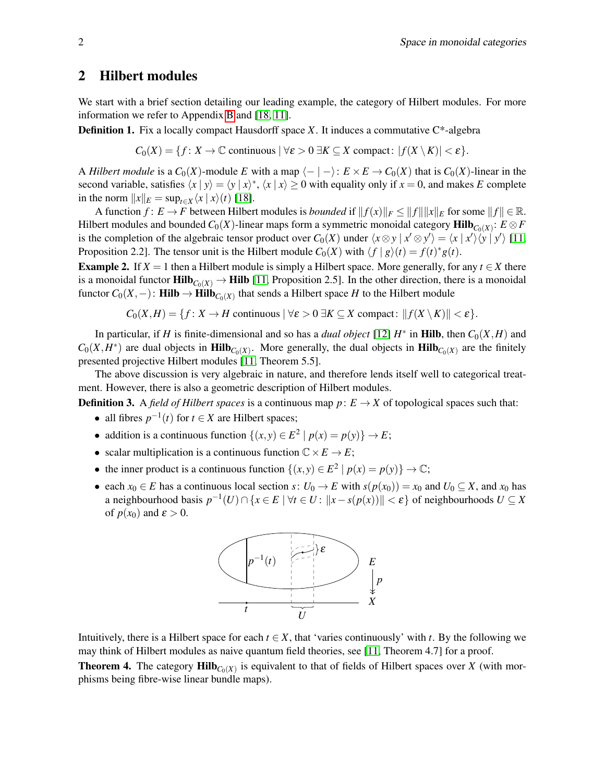### <span id="page-1-0"></span>2 Hilbert modules

We start with a brief section detailing our leading example, the category of Hilbert modules. For more information we refer to Appendix [B](#page-11-0) and [\[18,](#page-10-0) [11\]](#page-9-3).

**Definition 1.** Fix a locally compact Hausdorff space *X*. It induces a commutative C\*-algebra

$$
C_0(X) = \{f \colon X \to \mathbb{C} \text{ continuous } |\forall \varepsilon > 0 \ \exists K \subseteq X \text{ compact}: |f(X \setminus K)| < \varepsilon\}.
$$

A *Hilbert module* is a  $C_0(X)$ -module *E* with a map  $\langle - | - \rangle$ :  $E \times E \rightarrow C_0(X)$  that is  $C_0(X)$ -linear in the second variable, satisfies  $\langle x | y \rangle = \langle y | x \rangle^*$ ,  $\langle x | x \rangle \ge 0$  with equality only if  $x = 0$ , and makes *E* complete in the norm  $||x||_E = \sup_{t \in X} \langle x | x \rangle(t)$  [\[18\]](#page-10-0).

A function  $f: E \to F$  between Hilbert modules is *bounded* if  $||f(x)||_F \le ||f|| ||x||_E$  for some  $||f|| \in \mathbb{R}$ . Hilbert modules and bounded  $C_0(X)$ -linear maps form a symmetric monoidal category  $\textbf{Hilb}_{C_0(X)}$ :  $E\otimes F$ is the completion of the algebraic tensor product over  $C_0(X)$  under  $\langle x \otimes y | x' \otimes y' \rangle = \langle x | x' \rangle \langle y | y' \rangle$  [\[11,](#page-9-3) Proposition 2.2]. The tensor unit is the Hilbert module  $C_0(X)$  with  $\langle f | g \rangle(t) = f(t)^* g(t)$ .

<span id="page-1-1"></span>**Example 2.** If  $X = 1$  then a Hilbert module is simply a Hilbert space. More generally, for any  $t \in X$  there is a monoidal functor  $\text{Hilb}_{C_0(X)} \to \text{Hilb}$  [\[11,](#page-9-3) Proposition 2.5]. In the other direction, there is a monoidal functor  $C_0(X, -)$ : **Hilb** → **Hilb** $_{C_0(X)}$  that sends a Hilbert space *H* to the Hilbert module

$$
C_0(X,H) = \{f: X \to H \text{ continuous } |\forall \varepsilon > 0 \ \exists K \subseteq X \text{ compact: } ||f(X \setminus K)|| < \varepsilon\}.
$$

In particular, if *H* is finite-dimensional and so has a *dual object* [\[12\]](#page-9-2)  $H^*$  in **Hilb**, then  $C_0(X, H)$  and  $C_0(X, H^*)$  are dual objects in **Hilb**<sub>*C*0</sub>(*X*). More generally, the dual objects in **Hilb**<sub>*C*0</sub>(*X*) are the finitely presented projective Hilbert modules [\[11,](#page-9-3) Theorem 5.5].

The above discussion is very algebraic in nature, and therefore lends itself well to categorical treatment. However, there is also a geometric description of Hilbert modules.

**Definition 3.** A *field of Hilbert spaces* is a continuous map  $p: E \to X$  of topological spaces such that:

- all fibres  $p^{-1}(t)$  for  $t \in X$  are Hilbert spaces;
- addition is a continuous function  $\{(x, y) \in E^2 \mid p(x) = p(y)\} \to E$ ;
- scalar multiplication is a continuous function  $\mathbb{C} \times E \to E$ ;
- the inner product is a continuous function  $\{(x, y) \in E^2 \mid p(x) = p(y)\} \to \mathbb{C};$
- each  $x_0 \in E$  has a continuous local section  $s: U_0 \to E$  with  $s(p(x_0)) = x_0$  and  $U_0 \subseteq X$ , and  $x_0$  has a neighbourhood basis  $p^{-1}(U) \cap \{x \in E \mid \forall t \in U : ||x - s(p(x))|| < \varepsilon\}$  of neighbourhoods  $U \subseteq X$ of  $p(x_0)$  and  $\varepsilon > 0$ .



Intuitively, there is a Hilbert space for each  $t \in X$ , that 'varies continuously' with  $t$ . By the following we may think of Hilbert modules as naive quantum field theories, see [\[11,](#page-9-3) Theorem 4.7] for a proof. **Theorem 4.** The category  $\text{Hilb}_{C_0(X)}$  is equivalent to that of fields of Hilbert spaces over *X* (with morphisms being fibre-wise linear bundle maps).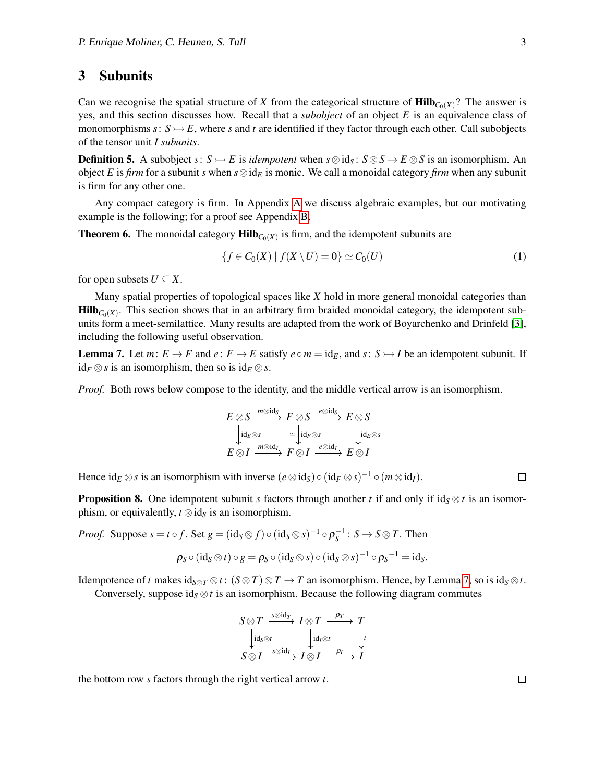#### 3 Subunits

Can we recognise the spatial structure of *X* from the categorical structure of  $\text{Hilb}_{C_0(X)}$ ? The answer is yes, and this section discusses how. Recall that a *subobject* of an object *E* is an equivalence class of monomorphisms  $s: S \rightarrow E$ , where *s* and *t* are identified if they factor through each other. Call subobjects of the tensor unit *I subunits*.

**Definition 5.** A subobject  $s: S \rightarrow E$  is *idempotent* when  $s \otimes id_S$ :  $S \otimes S \rightarrow E \otimes S$  is an isomorphism. An object *E* is *firm* for a subunit *s* when *s*⊗id*<sup>E</sup>* is monic. We call a monoidal category *firm* when any subunit is firm for any other one.

Any compact category is firm. In Appendix [A](#page-10-1) we discuss algebraic examples, but our motivating example is the following; for a proof see Appendix [B.](#page-11-0)

<span id="page-2-3"></span>**Theorem 6.** The monoidal category  $\text{Hilb}_{C_0(X)}$  is firm, and the idempotent subunits are

<span id="page-2-2"></span>
$$
\{f \in C_0(X) \mid f(X \setminus U) = 0\} \simeq C_0(U) \tag{1}
$$

for open subsets  $U \subseteq X$ .

Many spatial properties of topological spaces like *X* hold in more general monoidal categories than  $\text{Hilb}_{C_0(X)}$ . This section shows that in an arbitrary firm braided monoidal category, the idempotent subunits form a meet-semilattice. Many results are adapted from the work of Boyarchenko and Drinfeld [\[3\]](#page-9-4), including the following useful observation.

<span id="page-2-0"></span>**Lemma 7.** Let  $m: E \to F$  and  $e: F \to E$  satisfy  $e \circ m = \text{id}_E$ , and  $s: S \to I$  be an idempotent subunit. If id<sub>*F*</sub> ⊗*s* is an isomorphism, then so is id<sub>*E*</sub> ⊗ *s*.

*Proof.* Both rows below compose to the identity, and the middle vertical arrow is an isomorphism.

$$
E \otimes S \xrightarrow{m \otimes \text{id}_S} F \otimes S \xrightarrow{e \otimes \text{id}_S} E \otimes S
$$
  
\n
$$
\downarrow \text{id}_E \otimes s \xrightarrow{\simeq} \downarrow \text{id}_F \otimes s \xrightarrow{e \otimes \text{id}_S} \downarrow \text{id}_E \otimes s
$$
  
\n
$$
E \otimes I \xrightarrow{m \otimes \text{id}_I} F \otimes I \xrightarrow{e \otimes \text{id}_I} E \otimes I
$$

Hence  $id_E \otimes s$  is an isomorphism with inverse  $(e \otimes id_S) \circ (id_F \otimes s)^{-1} \circ (m \otimes id_I)$ .

<span id="page-2-1"></span>**Proposition 8.** One idempotent subunit *s* factors through another *t* if and only if id $_S \otimes t$  is an isomorphism, or equivalently,  $t \otimes id_S$  is an isomorphism.

*Proof.* Suppose  $s = t \circ f$ . Set  $g = (\text{id}_S \otimes f) \circ (\text{id}_S \otimes s)^{-1} \circ \rho_S^{-1} : S \to S \otimes T$ . Then  $\rho_S\circ(\operatorname{id}_S\otimes t)\circ g=\rho_S\circ(\operatorname{id}_S\otimes s)\circ(\operatorname{id}_S\otimes s)^{-1}\circ \rho_S{}^{-1}=\operatorname{id}_S.$ 

Idempotence of *t* makes  $id_{S \otimes T} \otimes t$  :  $(S \otimes T) \otimes T \to T$  an isomorphism. Hence, by Lemma [7,](#page-2-0) so is  $id_S \otimes t$ .

Conversely, suppose id<sub>S</sub>  $\otimes$ *t* is an isomorphism. Because the following diagram commutes

$$
S \otimes T \xrightarrow{s \otimes id_T} I \otimes T \xrightarrow{\rho_T} T
$$
  
\n
$$
\downarrow id_S \otimes t \qquad \qquad \downarrow id_I \otimes t \qquad \downarrow t
$$
  
\n
$$
S \otimes I \xrightarrow{s \otimes id_I} I \otimes I \xrightarrow{\rho_I} I
$$

the bottom row *s* factors through the right vertical arrow *t*.

 $\Box$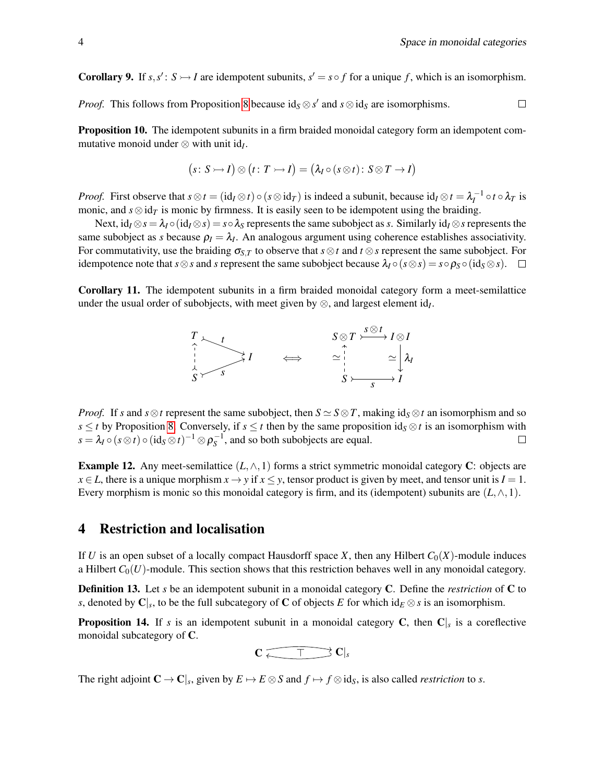**Corollary 9.** If  $s, s' : S \rightarrow I$  are idempotent subunits,  $s' = s \circ f$  for a unique f, which is an isomorphism.

*Proof.* This follows from Proposition [8](#page-2-1) because  $id_S \otimes s'$  and  $s \otimes id_S$  are isomorphisms.  $\Box$ 

Proposition 10. The idempotent subunits in a firm braided monoidal category form an idempotent commutative monoid under  $\otimes$  with unit id<sub>*I*</sub>.

$$
(s: S \rightarrowtail I) \otimes (t: T \rightarrowtail I) = (\lambda_I \circ (s \otimes t): S \otimes T \rightarrow I)
$$

*Proof.* First observe that  $s \otimes t = (\mathrm{id}_I \otimes t) \circ (s \otimes \mathrm{id}_T)$  is indeed a subunit, because  $\mathrm{id}_I \otimes t = \lambda_I^{-1} \circ t \circ \lambda_T$  is monic, and  $s \otimes id$ *T* is monic by firmness. It is easily seen to be idempotent using the braiding.

Next,  $id_I \otimes s = \lambda_I \circ (id_I \otimes s) = s \circ \lambda_S$  represents the same subobject as *s*. Similarly  $id_I \otimes s$  represents the same subobject as *s* because  $\rho_I = \lambda_I$ . An analogous argument using coherence establishes associativity. For commutativity, use the braiding  $\sigma_{S,T}$  to observe that  $s \otimes t$  and  $t \otimes s$  represent the same subobject. For idempotence note that  $s \otimes s$  and  $s$  represent the same subobject because  $\lambda_I \circ (s \otimes s) = s \circ \rho_S \circ (id_S \otimes s)$ .

Corollary 11. The idempotent subunits in a firm braided monoidal category form a meet-semilattice under the usual order of subobjects, with meet given by  $\otimes$ , and largest element id<sub>*I*</sub>.



*Proof.* If *s* and  $s \otimes t$  represent the same subobject, then  $S \simeq S \otimes T$ , making id $S \otimes t$  an isomorphism and so *s* ≤ *t* by Proposition [8.](#page-2-1) Conversely, if *s* ≤ *t* then by the same proposition id<sub>S</sub> ⊗ *t* is an isomorphism with  $s = \lambda_I \circ (s \otimes t) \circ (\mathrm{id}_S \otimes t)^{-1} \otimes \rho_S^{-1}$ , and so both subobjects are equal.  $\Box$ 

**Example 12.** Any meet-semilattice  $(L, \wedge, 1)$  forms a strict symmetric monoidal category C: objects are *x* ∈ *L*, there is a unique morphism *x* → *y* if *x* ≤ *y*, tensor product is given by meet, and tensor unit is *I* = 1. Every morphism is monic so this monoidal category is firm, and its (idempotent) subunits are  $(L, \wedge, 1)$ .

#### 4 Restriction and localisation

If *U* is an open subset of a locally compact Hausdorff space *X*, then any Hilbert  $C_0(X)$ -module induces a Hilbert  $C_0(U)$ -module. This section shows that this restriction behaves well in any monoidal category.

Definition 13. Let *s* be an idempotent subunit in a monoidal category C. Define the *restriction* of C to *s*, denoted by  $\mathbf{C}|_s$ , to be the full subcategory of  $\mathbf C$  of objects  $E$  for which id $_E \otimes s$  is an isomorphism.

<span id="page-3-0"></span>**Proposition 14.** If *s* is an idempotent subunit in a monoidal category C, then C<sub>|s</sub> is a coreflective monoidal subcategory of C.

 $C \leftarrow \top C_s$ 

The right adjoint  $C \to C|_s$ , given by  $E \mapsto E \otimes S$  and  $f \mapsto f \otimes id_S$ , is also called *restriction* to *s*.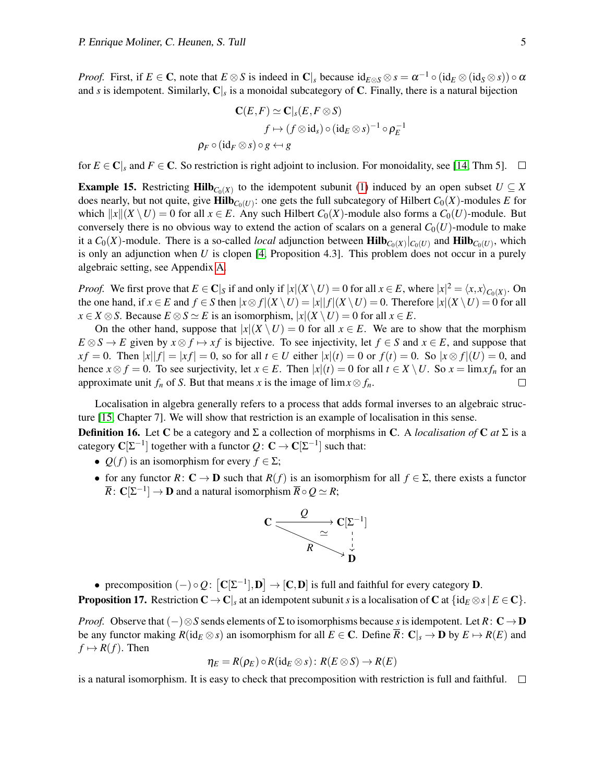*Proof.* First, if  $E \in \mathbb{C}$ , note that  $E \otimes S$  is indeed in  $\mathbb{C}|_s$  because  $id_{E \otimes S} \otimes s = \alpha^{-1} \circ (id_E \otimes (id_S \otimes s)) \circ \alpha$ and *s* is idempotent. Similarly, C|*<sup>s</sup>* is a monoidal subcategory of C. Finally, there is a natural bijection

$$
\mathbf{C}(E,F) \simeq \mathbf{C}|_s(E, F \otimes S)
$$
  

$$
f \mapsto (f \otimes id_s) \circ (id_E \otimes s)^{-1} \circ \rho_E^{-1}
$$
  

$$
\rho_F \circ (id_F \otimes s) \circ g \leftrightarrow g
$$

for  $E \in \mathbb{C}$ <sub>*s*</sub> and  $F \in \mathbb{C}$ . So restriction is right adjoint to inclusion. For monoidality, see [\[14,](#page-9-5) Thm 5].  $\Box$ 

**Example 15.** Restricting  $\text{Hilb}_{C_0(X)}$  to the idempotent subunit [\(1\)](#page-2-2) induced by an open subset  $U \subseteq X$ does nearly, but not quite, give  $\text{Hilb}_{C_0(U)}$ : one gets the full subcategory of Hilbert  $C_0(X)$ -modules *E* for which  $||x||(X \setminus U) = 0$  for all  $x \in E$ . Any such Hilbert  $C_0(X)$ -module also forms a  $C_0(U)$ -module. But conversely there is no obvious way to extend the action of scalars on a general  $C_0(U)$ -module to make it a  $C_0(X)$ -module. There is a so-called *local* adjunction between  $\textbf{Hilb}_{C_0(X)}|_{C_0(U)}$  and  $\textbf{Hilb}_{C_0(U)}$ , which is only an adjunction when *U* is clopen [\[4,](#page-9-6) Proposition 4.3]. This problem does not occur in a purely algebraic setting, see Appendix [A.](#page-10-1)

*Proof.* We first prove that  $E \in \mathbb{C}|_S$  if and only if  $|x|(X \setminus U) = 0$  for all  $x \in E$ , where  $|x|^2 = \langle x, x \rangle_{C_0(X)}$ . On the one hand, if  $x \in E$  and  $f \in S$  then  $|x \otimes f|(X \setminus U) = |x||f|(X \setminus U) = 0$ . Therefore  $|x|(X \setminus U) = 0$  for all *x* ∈ *X* ⊗ *S*. Because *E* ⊗ *S*  $\simeq$  *E* is an isomorphism,  $|x|$ (*X* \ *U*) = 0 for all *x* ∈ *E*.

On the other hand, suppose that  $|x|$ ( $X \setminus U$ ) = 0 for all  $x \in E$ . We are to show that the morphism  $E \otimes S \to E$  given by  $x \otimes f \mapsto xf$  is bijective. To see injectivity, let  $f \in S$  and  $x \in E$ , and suppose that *x f* = 0. Then  $|x||f| = |xf| = 0$ , so for all *t* ∈ *U* either  $|x|(t) = 0$  or  $f(t) = 0$ . So  $|x \otimes f|(U) = 0$ , and hence  $x \otimes f = 0$ . To see surjectivity, let  $x \in E$ . Then  $|x|(t) = 0$  for all  $t \in X \setminus U$ . So  $x = \lim x f_n$  for an approximate unit  $f_n$  of *S*. But that means *x* is the image of lim $x \otimes f_n$ .  $\Box$ 

Localisation in algebra generally refers to a process that adds formal inverses to an algebraic structure [\[15,](#page-9-7) Chapter 7]. We will show that restriction is an example of localisation in this sense.

**Definition 16.** Let C be a category and  $\Sigma$  a collection of morphisms in C. A *localisation of* C *at*  $\Sigma$  is a category  $\mathbf{C}[\Sigma^{-1}]$  together with a functor  $Q\colon \mathbf{C}\to \mathbf{C}[\Sigma^{-1}]$  such that:

- $Q(f)$  is an isomorphism for every  $f \in \Sigma$ ;
- for any functor  $R: \mathbf{C} \to \mathbf{D}$  such that  $R(f)$  is an isomorphism for all  $f \in \Sigma$ , there exists a functor  $\overline{R}\colon\mathbf{C}[\Sigma^{-1}]\to\mathbf{D}$  and a natural isomorphism  $\overline{R}\circ Q\simeq R;$



• precomposition  $(-) \circ Q$ :  $[C[\Sigma^{-1}], D] \to [C, D]$  is full and faithful for every category D. **Proposition 17.** Restriction  $C \to C$ , at an idempotent subunit *s* is a localisation of C at  $\{id_E \otimes s | E \in C\}$ .

*Proof.* Observe that  $(-) \otimes S$  sends elements of Σ to isomorphisms because *s* is idempotent. Let *R*: **C** → **D** be any functor making  $R(\text{id}_E \otimes s)$  an isomorphism for all  $E \in \mathbb{C}$ . Define  $\overline{R} : \mathbb{C}|_s \to \mathbb{D}$  by  $E \mapsto R(E)$  and  $f \mapsto R(f)$ . Then

$$
\eta_E = R(\rho_E) \circ R(\mathrm{id}_E \otimes s): R(E \otimes S) \to R(E)
$$

is a natural isomorphism. It is easy to check that precomposition with restriction is full and faithful.  $\square$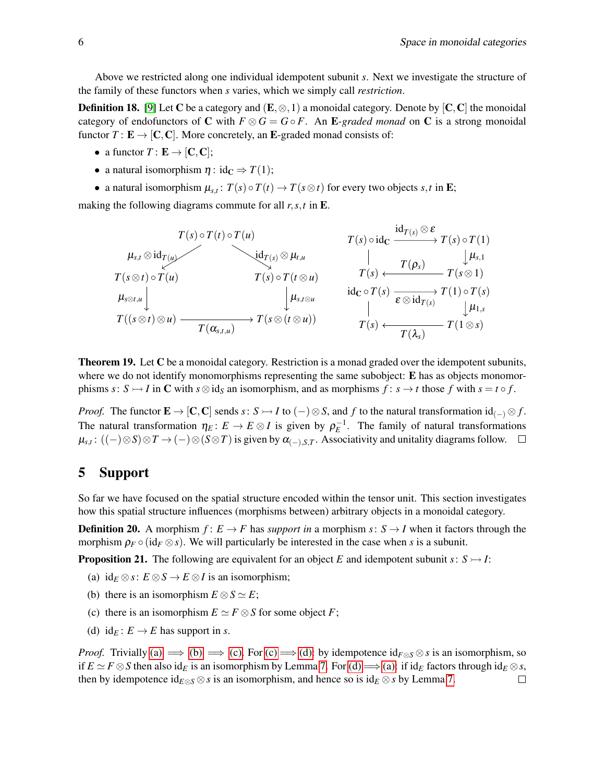Above we restricted along one individual idempotent subunit *s*. Next we investigate the structure of the family of these functors when *s* varies, which we simply call *restriction*.

**Definition 18.** [\[9\]](#page-9-8) Let C be a category and  $(E, \otimes, 1)$  a monoidal category. Denote by  $[C, C]$  the monoidal category of endofunctors of C with  $F \otimes G = G \circ F$ . An E-graded monad on C is a strong monoidal functor  $T: E \to [C, C]$ . More concretely, an E-graded monad consists of:

- a functor  $T: \mathbf{E} \to [\mathbf{C}, \mathbf{C}];$
- a natural isomorphism  $\eta$  : id<sub>C</sub>  $\Rightarrow$  *T*(1);
- a natural isomorphism  $\mu_{s,t}$ :  $T(s) \circ T(t) \to T(s \otimes t)$  for every two objects  $s,t$  in **E**;

making the following diagrams commute for all *r*,*s*,*t* in E.

$$
\begin{array}{ccc}\n & T(s) \circ T(t) \circ T(u) & T(s) \circ id_{\mathbf{C}} & \xrightarrow{\mathrm{id}_{T(s)} \otimes \mathbf{\epsilon}} T(s) \circ T(1) \\
\downarrow \mu_{s,t} \otimes id_{\mathbf{T}(u)} & & \downarrow \mu_{s,1} \\
 & T(s \otimes t) \circ T(u) & T(s) \circ T(t \otimes u) & T(s) & \xrightarrow{\mathbf{T}(s)} T(s \otimes 1) \\
\downarrow \mu_{s,t \otimes u} & & \downarrow \mu_{s,t \otimes u} \\
 & & \downarrow \mu_{s,t \otimes u} & & \text{id}_{\mathbf{C}} \circ T(s) & \xrightarrow{\mathbf{\epsilon} \otimes id_{\mathbf{T}(s)}} T(1) \circ T(s) \\
 & T((s \otimes t) \otimes u) & & \xrightarrow{\mathbf{T}(\alpha_{s,t,u})} T(s \otimes (t \otimes u)) & & T(s) & \xrightarrow{\mathbf{T}(\lambda_s)} T(1 \otimes s)\n\end{array}
$$

**Theorem 19.** Let C be a monoidal category. Restriction is a monad graded over the idempotent subunits, where we do not identify monomorphisms representing the same subobject:  $\bf{E}$  has as objects monomorphisms  $s: S \rightarrow I$  in C with  $s \otimes id_S$  an isomorphism, and as morphisms  $f: s \rightarrow t$  those  $f$  with  $s = t \circ f$ .

*Proof.* The functor  $\mathbf{E} \to [\mathbf{C}, \mathbf{C}]$  sends  $s: S \to I$  to  $(-) \otimes S$ , and  $f$  to the natural transformation id $_{(-)} \otimes f$ . The natural transformation  $\eta_E: E \to E \otimes I$  is given by  $\rho_E^{-1}$ . The family of natural transformations  $\mu_{s,t}$ :  $((-) \otimes S) \otimes T \to (-) \otimes (S \otimes T)$  is given by  $\alpha_{(-),S,T}$ . Associativity and unitality diagrams follow.

### 5 Support

So far we have focused on the spatial structure encoded within the tensor unit. This section investigates how this spatial structure influences (morphisms between) arbitrary objects in a monoidal category.

**Definition 20.** A morphism  $f: E \to F$  has *support in* a morphism  $s: S \to I$  when it factors through the morphism  $\rho_F \circ (\mathrm{id}_F \otimes s)$ . We will particularly be interested in the case when *s* is a subunit.

**Proposition 21.** The following are equivalent for an object *E* and idempotent subunit *s*:  $S \rightarrow I$ :

- <span id="page-5-0"></span>(a)  $id_E \otimes s : E \otimes S \rightarrow E \otimes I$  is an isomorphism;
- <span id="page-5-1"></span>(b) there is an isomorphism  $E \otimes S \simeq E$ ;
- <span id="page-5-2"></span>(c) there is an isomorphism  $E \simeq F \otimes S$  for some object *F*;
- <span id="page-5-3"></span>(d) id<sub>*E*</sub> :  $E \rightarrow E$  has support in *s*.

*Proof.* Trivially [\(a\)](#page-5-0)  $\implies$  [\(b\)](#page-5-1)  $\implies$  [\(c\).](#page-5-2) For [\(c\)](#page-5-2)  $\implies$  [\(d\):](#page-5-3) by idempotence  $id_{F\otimes S}\otimes s$  is an isomorphism, so if  $E \simeq F \otimes S$  then also id<sub>E</sub> is an isomorphism by Lemma [7.](#page-2-0) For [\(d\)](#page-5-3)  $\Longrightarrow$  [\(a\):](#page-5-0) if id<sub>E</sub> factors through id<sub>E</sub>  $\otimes$ *s*, then by idempotence id $E \otimes S$  is an isomorphism, and hence so is id $E \otimes S$  by Lemma [7.](#page-2-0)  $\Box$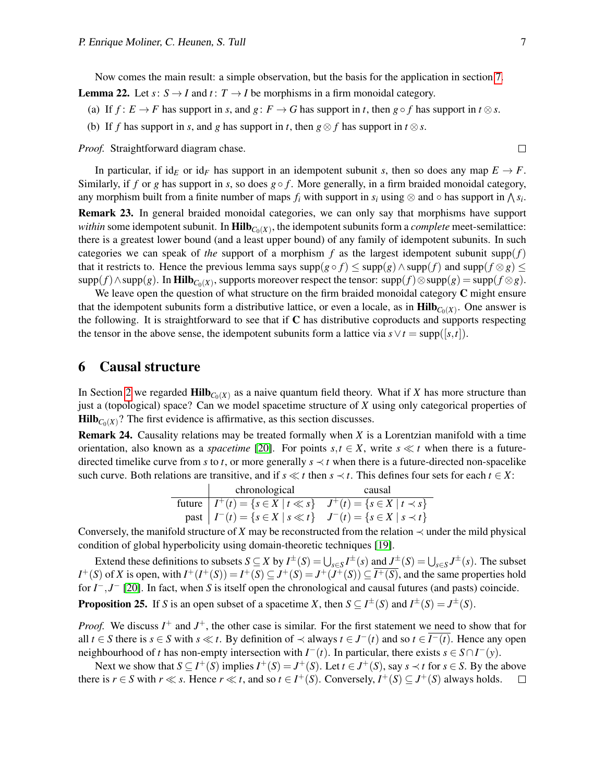$\Box$ 

Now comes the main result: a simple observation, but the basis for the application in section [7.](#page-7-0)

- <span id="page-6-0"></span>**Lemma 22.** Let  $s: S \rightarrow I$  and  $t: T \rightarrow I$  be morphisms in a firm monoidal category.
	- (a) If  $f: E \to F$  has support in *s*, and  $g: F \to G$  has support in *t*, then  $g \circ f$  has support in  $t \otimes s$ .
	- (b) If *f* has support in *s*, and *g* has support in *t*, then  $g \otimes f$  has support in  $t \otimes s$ .

*Proof.* Straightforward diagram chase.

In particular, if id<sub>E</sub> or id<sub>F</sub> has support in an idempotent subunit *s*, then so does any map  $E \to F$ . Similarly, if *f* or *g* has support in *s*, so does  $g \circ f$ . More generally, in a firm braided monoidal category, any morphism built from a finite number of maps  $f_i$  with support in  $s_i$  using  $\otimes$  and  $\circ$  has support in  $\bigwedge s_i$ . Remark 23. In general braided monoidal categories, we can only say that morphisms have support within some idempotent subunit. In  $\text{Hilb}_{C_0(X)}$ , the idempotent subunits form a *complete* meet-semilattice: there is a greatest lower bound (and a least upper bound) of any family of idempotent subunits. In such categories we can speak of *the* support of a morphism f as the largest idempotent subunit supp $(f)$ that it restricts to. Hence the previous lemma says supp $(g \circ f) \leq$  supp $(g) \wedge$  supp $(f)$  and supp $(f \otimes g) \leq$  $\text{supp}(f) \wedge \text{supp}(g)$ . In  $\text{Hilb}_{C_0(X)}$ , supports moreover respect the tensor:  $\text{supp}(f) \otimes \text{supp}(g) = \text{supp}(f \otimes g)$ .

We leave open the question of what structure on the firm braided monoidal category C might ensure that the idempotent subunits form a distributive lattice, or even a locale, as in  $\text{Hilb}_{C_0(X)}$ . One answer is the following. It is straightforward to see that if  $C$  has distributive coproducts and supports respecting the tensor in the above sense, the idempotent subunits form a lattice via  $s \vee t = \text{supp}([s,t])$ .

#### 6 Causal structure

In Section [2](#page-1-0) we regarded  $\text{Hilb}_{C_0(X)}$  as a naive quantum field theory. What if *X* has more structure than just a (topological) space? Can we model spacetime structure of *X* using only categorical properties of  $\textbf{Hilb}_{C_0(X)}$ ? The first evidence is affirmative, as this section discusses.

Remark 24. Causality relations may be treated formally when *X* is a Lorentzian manifold with a time orientation, also known as a *spacetime* [\[20\]](#page-10-2). For points  $s, t \in X$ , write  $s \ll t$  when there is a futuredirected timelike curve from *s* to *t*, or more generally  $s \prec t$  when there is a future-directed non-spacelike such curve. Both relations are transitive, and if  $s \ll t$  then  $s \prec t$ . This defines four sets for each  $t \in X$ :

| chronological                                                                    | causal |
|----------------------------------------------------------------------------------|--------|
| future $I^+(t) = \{s \in X \mid t \ll s\}$ $J^+(t) = \{s \in X \mid t \prec s\}$ |        |
| past $ I^-(t) = \{s \in X \mid s \ll t\}$ $J^-(t) = \{s \in X \mid s \prec t\}$  |        |

Conversely, the manifold structure of *X* may be reconstructed from the relation  $\prec$  under the mild physical condition of global hyperbolicity using domain-theoretic techniques [\[19\]](#page-10-3).

Extend these definitions to subsets  $S \subseteq X$  by  $I^{\pm}(S) = \bigcup_{s \in S} I^{\pm}(s)$  and  $J^{\pm}(S) = \bigcup_{s \in S} J^{\pm}(s)$ . The subset *I*<sup>+</sup>(*S*) of *X* is open, with  $I^+(I^+(S)) = I^+(S) \subseteq J^+(S) = J^+(J^+(S)) \subseteq \overline{I^+(S)}$ , and the same properties hold for *I*<sup>-</sup>, *J*<sup>−</sup> [\[20\]](#page-10-2). In fact, when *S* is itself open the chronological and causal futures (and pasts) coincide. **Proposition 25.** If *S* is an open subset of a spacetime *X*, then  $S \subseteq I^{\pm}(S)$  and  $I^{\pm}(S) = J^{\pm}(S)$ .

*Proof.* We discuss  $I^+$  and  $J^+$ , the other case is similar. For the first statement we need to show that for all *t* ∈ *S* there is *s* ∈ *S* with *s* ≪ *t*. By definition of  $\prec$  always *t* ∈ *J*<sup>−</sup>(*t*) and so *t* ∈  $\overline{I^{-}(t)}$ . Hence any open neighbourhood of *t* has non-empty intersection with  $I^-(t)$ . In particular, there exists  $s \in S \cap I^-(y)$ .

Next we show that  $S \subseteq I^+(S)$  implies  $I^+(S) = J^+(S)$ . Let  $t \in J^+(S)$ , say  $s \prec t$  for  $s \in S$ . By the above there is  $r \in S$  with  $r \ll s$ . Hence  $r \ll t$ , and so  $t \in I^+(S)$ . Conversely,  $I^+(S) \subseteq J^+(S)$  always holds.  $\Box$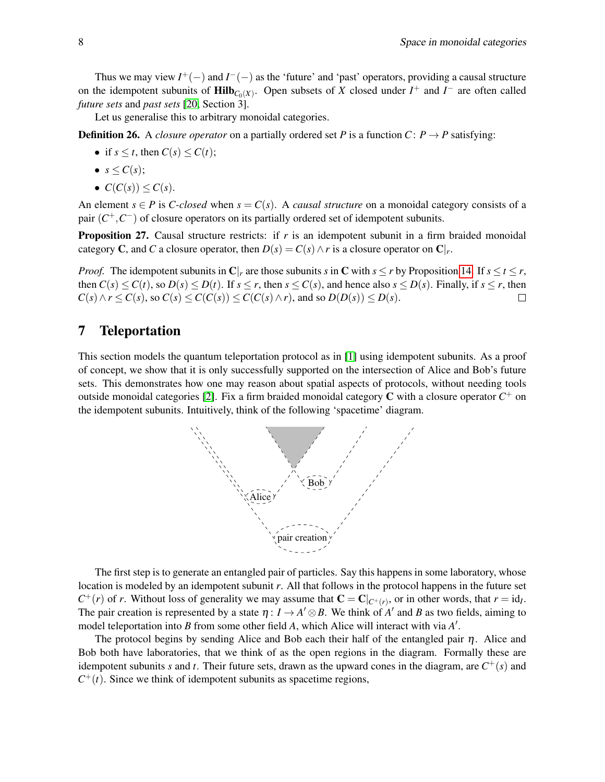Thus we may view  $I^+(-)$  and  $I^-(-)$  as the 'future' and 'past' operators, providing a causal structure on the idempotent subunits of  $\text{Hilb}_{C_0(X)}$ . Open subsets of *X* closed under *I*<sup>+</sup> and *I*<sup> $-$ </sup> are often called *future sets* and *past sets* [\[20,](#page-10-2) Section 3].

Let us generalise this to arbitrary monoidal categories.

**Definition 26.** A *closure operator* on a partially ordered set *P* is a function  $C: P \rightarrow P$  satisfying:

- if  $s \leq t$ , then  $C(s) \leq C(t)$ ;
- $s \leq C(s)$ ;
- $C(C(s)) \leq C(s)$ .

An element  $s \in P$  is *C-closed* when  $s = C(s)$ . A *causal structure* on a monoidal category consists of a pair  $(C^+, C^-)$  of closure operators on its partially ordered set of idempotent subunits.

Proposition 27. Causal structure restricts: if *r* is an idempotent subunit in a firm braided monoidal category **C**, and *C* a closure operator, then  $D(s) = C(s) \wedge r$  is a closure operator on  $\mathbf{C}|_r$ .

*Proof.* The idempotent subunits in  $\mathbb{C}|_r$  are those subunits *s* in  $\mathbb{C}$  with  $s \le r$  by Proposition [14.](#page-3-0) If  $s \le t \le r$ , then  $C(s) \leq C(t)$ , so  $D(s) \leq D(t)$ . If  $s \leq r$ , then  $s \leq C(s)$ , and hence also  $s \leq D(s)$ . Finally, if  $s \leq r$ , then  $C(s) \land r \leq C(s)$ , so  $C(s) \leq C(C(s)) \leq C(C(s) \land r)$ , and so  $D(D(s)) \leq D(s)$ .  $\Box$ 

#### <span id="page-7-0"></span>7 Teleportation

This section models the quantum teleportation protocol as in [\[1\]](#page-9-0) using idempotent subunits. As a proof of concept, we show that it is only successfully supported on the intersection of Alice and Bob's future sets. This demonstrates how one may reason about spatial aspects of protocols, without needing tools outside monoidal categories [\[2\]](#page-9-9). Fix a firm braided monoidal category  $C$  with a closure operator  $C^+$  on the idempotent subunits. Intuitively, think of the following 'spacetime' diagram.



The first step is to generate an entangled pair of particles. Say this happens in some laboratory, whose location is modeled by an idempotent subunit *r*. All that follows in the protocol happens in the future set  $C^+(r)$  of *r*. Without loss of generality we may assume that  $C = C|_{C^+(r)}$ , or in other words, that  $r = id_1$ . The pair creation is represented by a state  $\eta: I \to A' \otimes B$ . We think of  $A'$  and B as two fields, aiming to model teleportation into *B* from some other field *A*, which Alice will interact with via *A'*.

The protocol begins by sending Alice and Bob each their half of the entangled pair  $\eta$ . Alice and Bob both have laboratories, that we think of as the open regions in the diagram. Formally these are idempotent subunits *s* and *t*. Their future sets, drawn as the upward cones in the diagram, are  $C^+(s)$  and  $C^+(t)$ . Since we think of idempotent subunits as spacetime regions,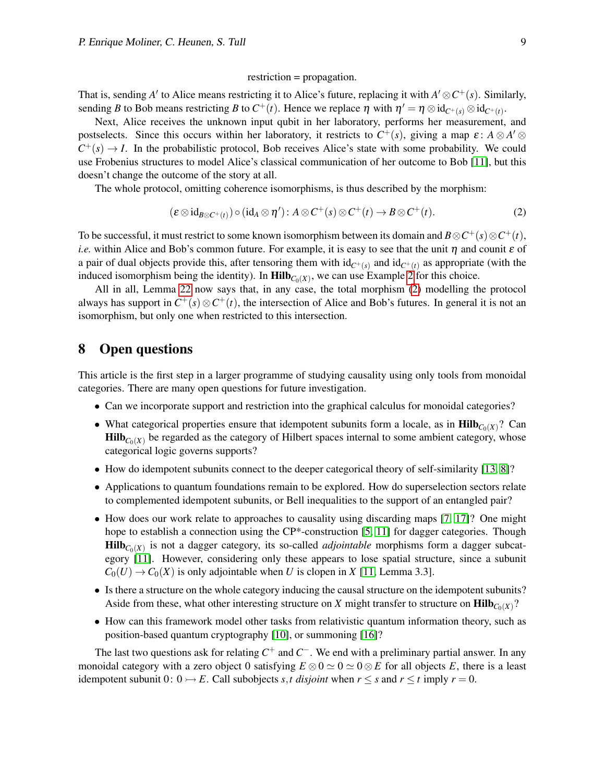#### <span id="page-8-0"></span>restriction = propagation.

That is, sending *A'* to Alice means restricting it to Alice's future, replacing it with  $A' \otimes C^+(s)$ . Similarly, sending *B* to Bob means restricting *B* to  $C^+(t)$ . Hence we replace  $\eta$  with  $\eta' = \eta \otimes id_{C^+(s)} \otimes id_{C^+(t)}$ .

Next, Alice receives the unknown input qubit in her laboratory, performs her measurement, and postselects. Since this occurs within her laboratory, it restricts to  $C^+(s)$ , giving a map  $\varepsilon: A \otimes A' \otimes$  $C^+(s) \to I$ . In the probabilistic protocol, Bob receives Alice's state with some probability. We could use Frobenius structures to model Alice's classical communication of her outcome to Bob [\[11\]](#page-9-3), but this doesn't change the outcome of the story at all.

The whole protocol, omitting coherence isomorphisms, is thus described by the morphism:

$$
(\varepsilon \otimes id_{B \otimes C^+(t)}) \circ (id_A \otimes \eta') : A \otimes C^+(s) \otimes C^+(t) \to B \otimes C^+(t). \tag{2}
$$

To be successful, it must restrict to some known isomorphism between its domain and  $B \otimes C^+(s) \otimes C^+(t)$ , *i.e.* within Alice and Bob's common future. For example, it is easy to see that the unit  $\eta$  and counit  $\varepsilon$  of a pair of dual objects provide this, after tensoring them with  $id_{C^+(s)}$  and  $id_{C^+(t)}$  as appropriate (with the induced isomorphism being the identity). In  $\text{Hilb}_{C_0(X)}$ , we can use Example [2](#page-1-1) for this choice.

All in all, Lemma [22](#page-6-0) now says that, in any case, the total morphism [\(2\)](#page-8-0) modelling the protocol always has support in  $C^+(s) \otimes C^+(t)$ , the intersection of Alice and Bob's futures. In general it is not an isomorphism, but only one when restricted to this intersection.

### 8 Open questions

This article is the first step in a larger programme of studying causality using only tools from monoidal categories. There are many open questions for future investigation.

- Can we incorporate support and restriction into the graphical calculus for monoidal categories?
- What categorical properties ensure that idempotent subunits form a locale, as in  $\text{Hilb}_{C_0(X)}$ ? Can  $\text{Hilb}_{C_0(X)}$  be regarded as the category of Hilbert spaces internal to some ambient category, whose categorical logic governs supports?
- How do idempotent subunits connect to the deeper categorical theory of self-similarity [\[13,](#page-9-10) [8\]](#page-9-11)?
- Applications to quantum foundations remain to be explored. How do superselection sectors relate to complemented idempotent subunits, or Bell inequalities to the support of an entangled pair?
- How does our work relate to approaches to causality using discarding maps [\[7,](#page-9-12) [17\]](#page-10-4)? One might hope to establish a connection using the CP\*-construction [\[5,](#page-9-13) [11\]](#page-9-3) for dagger categories. Though  $\textbf{Hilb}_{C_0(X)}$  is not a dagger category, its so-called *adjointable* morphisms form a dagger subcategory [\[11\]](#page-9-3). However, considering only these appears to lose spatial structure, since a subunit  $C_0(U) \to C_0(X)$  is only adjointable when *U* is clopen in *X* [\[11,](#page-9-3) Lemma 3.3].
- Is there a structure on the whole category inducing the causal structure on the idempotent subunits? Aside from these, what other interesting structure on *X* might transfer to structure on  $\text{Hilb}_{C_0(X)}$ ?
- How can this framework model other tasks from relativistic quantum information theory, such as position-based quantum cryptography [\[10\]](#page-9-14), or summoning [\[16\]](#page-9-15)?

The last two questions ask for relating  $C^+$  and  $C^-$ . We end with a preliminary partial answer. In any monoidal category with a zero object 0 satisfying  $E \otimes 0 \simeq 0 \otimes 0 \otimes E$  for all objects *E*, there is a least idempotent subunit  $0: 0 \rightarrow E$ . Call subobjects *s*,*t* disjoint when  $r \leq s$  and  $r \leq t$  imply  $r = 0$ .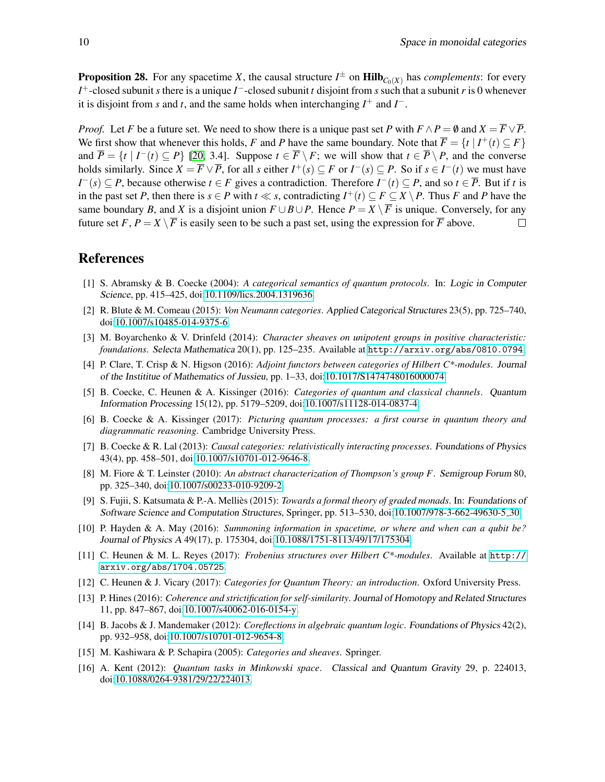**Proposition 28.** For any spacetime *X*, the causal structure  $I^{\pm}$  on  $\text{Hilb}_{C_0(X)}$  has *complements*: for every *I*<sup>+</sup>-closed subunit *s* there is a unique *I*<sup>−</sup>-closed subunit *t* disjoint from *s* such that a subunit *r* is 0 whenever it is disjoint from *s* and *t*, and the same holds when interchanging  $I^+$  and  $I^-$ .

*Proof.* Let *F* be a future set. We need to show there is a unique past set *P* with  $F \wedge P = \emptyset$  and  $X = \overline{F} \vee \overline{P}$ . We first show that whenever this holds, *F* and *P* have the same boundary. Note that  $\overline{F} = \{t \mid I^+(t) \subseteq F\}$ and  $\overline{P} = \{t \mid I^{-}(t) \subseteq P\}$  [\[20,](#page-10-2) 3.4]. Suppose  $t \in \overline{F} \setminus F$ ; we will show that  $t \in \overline{P} \setminus P$ , and the converse holds similarly. Since  $X = \overline{F} \vee \overline{P}$ , for all *s* either  $I^+(s) \subseteq F$  or  $I^-(s) \subseteq P$ . So if  $s \in I^-(t)$  we must have *I*<sup>−</sup>(*s*) ⊆ *P*, because otherwise *t* ∈ *F* gives a contradiction. Therefore *I*<sup>−</sup>(*t*) ⊆ *P*, and so *t* ∈  $\overline{P}$ . But if *t* is in the past set *P*, then there is  $s \in P$  with  $t \ll s$ , contradicting  $I^+(t) \subseteq F \subseteq X \setminus P$ . Thus *F* and *P* have the same boundary *B*, and *X* is a disjoint union  $F \cup B \cup P$ . Hence  $P = X \setminus \overline{F}$  is unique. Conversely, for any future set *F*,  $P = X \setminus \overline{F}$  is easily seen to be such a past set, using the expression for  $\overline{F}$  above.  $\Box$ 

#### References

- <span id="page-9-0"></span>[1] S. Abramsky & B. Coecke (2004): *A categorical semantics of quantum protocols*. In: Logic in Computer Science, pp. 415–425, doi[:10.1109/lics.2004.1319636.](http://dx.doi.org/10.1109/lics.2004.1319636)
- <span id="page-9-9"></span>[2] R. Blute & M. Comeau (2015): *Von Neumann categories*. Applied Categorical Structures 23(5), pp. 725–740, doi[:10.1007/s10485-014-9375-6.](http://dx.doi.org/10.1007/s10485-014-9375-6)
- <span id="page-9-4"></span>[3] M. Boyarchenko & V. Drinfeld (2014): *Character sheaves on unipotent groups in positive characteristic: foundations*. Selecta Mathematica 20(1), pp. 125–235. Available at <http://arxiv.org/abs/0810.0794>.
- <span id="page-9-6"></span>[4] P. Clare, T. Crisp & N. Higson (2016): *Adjoint functors between categories of Hilbert C\*-modules*. Journal of the Instititue of Mathematics of Jussieu, pp. 1–33, doi[:10.1017/S1474748016000074.](http://dx.doi.org/10.1017/S1474748016000074)
- <span id="page-9-13"></span>[5] B. Coecke, C. Heunen & A. Kissinger (2016): *Categories of quantum and classical channels*. Quantum Information Processing 15(12), pp. 5179–5209, doi[:10.1007/s11128-014-0837-4.](http://dx.doi.org/10.1007/s11128-014-0837-4)
- <span id="page-9-1"></span>[6] B. Coecke & A. Kissinger (2017): *Picturing quantum processes: a first course in quantum theory and diagrammatic reasoning*. Cambridge University Press.
- <span id="page-9-12"></span>[7] B. Coecke & R. Lal (2013): *Causal categories: relativistically interacting processes*. Foundations of Physics 43(4), pp. 458–501, doi[:10.1007/s10701-012-9646-8.](http://dx.doi.org/10.1007/s10701-012-9646-8)
- <span id="page-9-11"></span>[8] M. Fiore & T. Leinster (2010): *An abstract characterization of Thompson's group F*. Semigroup Forum 80, pp. 325–340, doi[:10.1007/s00233-010-9209-2.](http://dx.doi.org/10.1007/s00233-010-9209-2)
- <span id="page-9-8"></span>[9] S. Fujii, S. Katsumata & P.-A. Mellies (2015): ` *Towards a formal theory of graded monads*. In: Foundations of Software Science and Computation Structures, Springer, pp. 513–530, doi[:10.1007/978-3-662-49630-5](http://dx.doi.org/10.1007/978-3-662-49630-5_30) 30.
- <span id="page-9-14"></span>[10] P. Hayden & A. May (2016): *Summoning information in spacetime, or where and when can a qubit be?* Journal of Physics A 49(17), p. 175304, doi[:10.1088/1751-8113/49/17/175304.](http://dx.doi.org/10.1088/1751-8113/49/17/175304)
- <span id="page-9-3"></span>[11] C. Heunen & M. L. Reyes (2017): *Frobenius structures over Hilbert C\*-modules*. Available at [http://](http://arxiv.org/abs/1704.05725) [arxiv.org/abs/1704.05725](http://arxiv.org/abs/1704.05725).
- <span id="page-9-2"></span>[12] C. Heunen & J. Vicary (2017): *Categories for Quantum Theory: an introduction*. Oxford University Press.
- <span id="page-9-10"></span>[13] P. Hines (2016): *Coherence and strictification for self-similarity*. Journal of Homotopy and Related Structures 11, pp. 847–867, doi[:10.1007/s40062-016-0154-y.](http://dx.doi.org/10.1007/s40062-016-0154-y)
- <span id="page-9-5"></span>[14] B. Jacobs & J. Mandemaker (2012): *Coreflections in algebraic quantum logic*. Foundations of Physics 42(2), pp. 932–958, doi[:10.1007/s10701-012-9654-8.](http://dx.doi.org/10.1007/s10701-012-9654-8)
- <span id="page-9-7"></span>[15] M. Kashiwara & P. Schapira (2005): *Categories and sheaves*. Springer.
- <span id="page-9-15"></span>[16] A. Kent (2012): *Quantum tasks in Minkowski space*. Classical and Quantum Gravity 29, p. 224013, doi[:10.1088/0264-9381/29/22/224013.](http://dx.doi.org/10.1088/0264-9381/29/22/224013)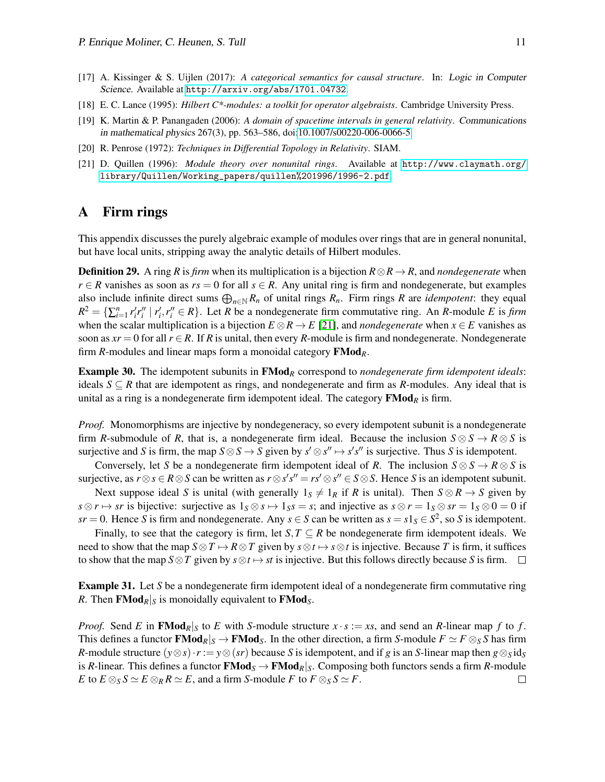- <span id="page-10-4"></span>[17] A. Kissinger & S. Uijlen (2017): *A categorical semantics for causal structure*. In: Logic in Computer Science. Available at <http://arxiv.org/abs/1701.04732>.
- <span id="page-10-0"></span>[18] E. C. Lance (1995): *Hilbert C\*-modules: a toolkit for operator algebraists*. Cambridge University Press.
- <span id="page-10-3"></span>[19] K. Martin & P. Panangaden (2006): *A domain of spacetime intervals in general relativity*. Communications in mathematical physics 267(3), pp. 563–586, doi[:10.1007/s00220-006-0066-5.](http://dx.doi.org/10.1007/s00220-006-0066-5)
- <span id="page-10-2"></span>[20] R. Penrose (1972): *Techniques in Differential Topology in Relativity*. SIAM.
- <span id="page-10-5"></span>[21] D. Quillen (1996): *Module theory over nonunital rings*. Available at [http://www.claymath.org/](http://www.claymath.org/library/Quillen/Working_papers/quillen%201996/1996-2.pdf) [library/Quillen/Working\\_papers/quillen%201996/1996-2.pdf](http://www.claymath.org/library/Quillen/Working_papers/quillen%201996/1996-2.pdf).

#### <span id="page-10-1"></span>A Firm rings

This appendix discusses the purely algebraic example of modules over rings that are in general nonunital, but have local units, stripping away the analytic details of Hilbert modules.

**Definition 29.** A ring *R* is *firm* when its multiplication is a bijection  $R \otimes R \rightarrow R$ , and *nondegenerate* when *r* ∈ *R* vanishes as soon as  $rs = 0$  for all  $s \in R$ . Any unital ring is firm and nondegenerate, but examples also include infinite direct sums  $\bigoplus_{n\in\mathbb{N}} R_n$  of unital rings  $R_n$ . Firm rings  $R$  are *idempotent*: they equal  $R^2 = \{ \sum_{i=1}^n r'_i r''_i \mid r'_i, r''_i \in R \}$ . Let R be a nondegenerate firm commutative ring. An R-module E is firm when the scalar multiplication is a bijection  $E \otimes R \to E$  [\[21\]](#page-10-5), and *nondegenerate* when  $x \in E$  vanishes as soon as  $xr = 0$  for all  $r \in R$ . If R is unital, then every R-module is firm and nondegenerate. Nondegenerate firm *R*-modules and linear maps form a monoidal category FMod*R*.

Example 30. The idempotent subunits in FMod*<sup>R</sup>* correspond to *nondegenerate firm idempotent ideals*: ideals  $S \subseteq R$  that are idempotent as rings, and nondegenerate and firm as *R*-modules. Any ideal that is unital as a ring is a nondegenerate firm idempotent ideal. The category  $\mathbf{FMod}_R$  is firm.

*Proof.* Monomorphisms are injective by nondegeneracy, so every idempotent subunit is a nondegenerate firm *R*-submodule of *R*, that is, a nondegenerate firm ideal. Because the inclusion  $S \otimes S \to R \otimes S$  is surjective and *S* is firm, the map  $S \otimes S \to S$  given by  $s' \otimes s'' \mapsto s's''$  is surjective. Thus *S* is idempotent.

Conversely, let *S* be a nondegenerate firm idempotent ideal of *R*. The inclusion  $S \otimes S \to R \otimes S$  is surjective, as  $r \otimes s \in R \otimes S$  can be written as  $r \otimes s's'' = rs' \otimes s'' \in S \otimes S$ . Hence *S* is an idempotent subunit.

Next suppose ideal *S* is unital (with generally  $1_S \neq 1_R$  if *R* is unital). Then  $S \otimes R \rightarrow S$  given by  $s \otimes r \mapsto sr$  is bijective: surjective as  $1_S \otimes s \mapsto 1_S s = s$ ; and injective as  $s \otimes r = 1_S \otimes sr = 1_S \otimes 0 = 0$  if  $sr = 0$ . Hence *S* is firm and nondegenerate. Any  $s \in S$  can be written as  $s = s1_S \in S^2$ , so *S* is idempotent.

Finally, to see that the category is firm, let *S*,  $T \subseteq R$  be nondegenerate firm idempotent ideals. We need to show that the map  $S \otimes T \mapsto R \otimes T$  given by  $s \otimes t \mapsto s \otimes t$  is injective. Because *T* is firm, it suffices to show that the map  $S \otimes T$  given by  $s \otimes t \mapsto st$  is injective. But this follows directly because *S* is firm.  $\square$ 

**Example 31.** Let *S* be a nondegenerate firm idempotent ideal of a nondegenerate firm commutative ring *R*. Then **FMod**<sub>*R*</sub><sup> $|S$ </sup> is monoidally equivalent to **FMod**<sub>*S*</sub>.

*Proof.* Send *E* in **FMod**<sub>*R*</sub> $|s|$  to *E* with *S*-module structure *x* · *s* := *xs*, and send an *R*-linear map *f* to *f*. This defines a functor  $\mathbf{FMod}_R|_S \to \mathbf{FMod}_S$ . In the other direction, a firm *S*-module  $F \simeq F \otimes_S S$  has firm *R*-module structure  $(y \otimes s) \cdot r := y \otimes (sr)$  because *S* is idempotent, and if *g* is an *S*-linear map then  $g \otimes_S id_S$ is *R*-linear. This defines a functor  $\text{FMod}_S \to \text{FMod}_R|_S$ . Composing both functors sends a firm *R*-module *E* to  $E \otimes_S S \simeq E \otimes_R R \simeq E$ , and a firm *S*-module *F* to  $F \otimes_S S \simeq F$ .  $\Box$